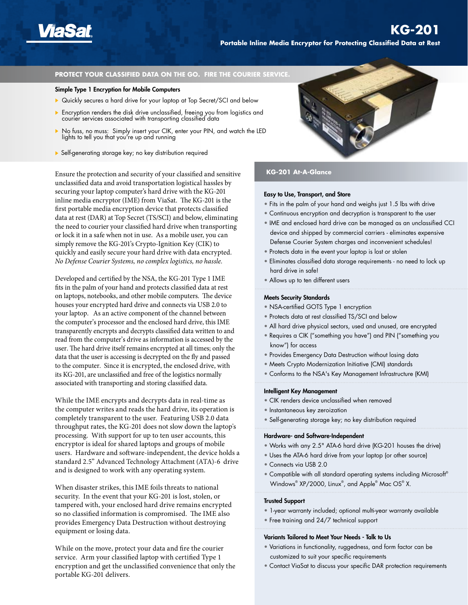

### **PROTECT YOUR CLASSIFIED DATA ON THE GO. FIRE THE COURIER SERVICE.**

# Simple Type 1 Encryption for Mobile Computers

- ▶ Quickly secures a hard drive for your laptop at Top Secret/SCI and below
- **Encryption renders the disk drive unclassified, freeing you from logistics and** courier services associated with transporting classified data
- ▶ No fuss, no muss: Simply insert your CIK, enter your PIN, and watch the LED lights to tell you that you're up and running
- Self-generating storage key; no key distribution required

Ensure the protection and security of your classified and sensitive unclassified data and avoid transportation logistical hassles by securing your laptop computer's hard drive with the KG-201 inline media encryptor (IME) from ViaSat. The KG-201 is the first portable media encryption device that protects classified data at rest (DAR) at Top Secret (TS/SCI) and below, eliminating the need to courier your classified hard drive when transporting or lock it in a safe when not in use. As a mobile user, you can simply remove the KG-201's Crypto-Ignition Key (CIK) to quickly and easily secure your hard drive with data encrypted. *No Defense Courier Systems, no complex logistics, no hassle.*

Developed and certified by the NSA, the KG-201 Type 1 IME fits in the palm of your hand and protects classified data at rest on laptops, notebooks, and other mobile computers. The device houses your encrypted hard drive and connects via USB 2.0 to your laptop. As an active component of the channel between the computer's processor and the enclosed hard drive, this IME transparently encrypts and decrypts classified data written to and read from the computer's drive as information is accessed by the user. The hard drive itself remains encrypted at all times; only the data that the user is accessing is decrypted on the fly and passed to the computer. Since it is encrypted, the enclosed drive, with its KG-201, are unclassified and free of the logistics normally associated with transporting and storing classified data.

While the IME encrypts and decrypts data in real-time as the computer writes and reads the hard drive, its operation is completely transparent to the user. Featuring USB 2.0 data throughput rates, the KG-201 does not slow down the laptop's processing. With support for up to ten user accounts, this encryptor is ideal for shared laptops and groups of mobile users. Hardware and software-independent, the device holds a standard 2.5" Advanced Technology Attachment (ATA)-6 drive and is designed to work with any operating system.

When disaster strikes, this IME foils threats to national security. In the event that your KG-201 is lost, stolen, or tampered with, your enclosed hard drive remains encrypted so no classified information is compromised. The IME also provides Emergency Data Destruction without destroying equipment or losing data.

While on the move, protect your data and fire the courier service. Arm your classified laptop with certified Type 1 encryption and get the unclassified convenience that only the portable KG-201 delivers.



## **KG-201 At-A-Glance**

### Easy to Use, Transport, and Store

- Fits in the palm of your hand and weighs just 1.5 lbs with drive
- Continuous encryption and decryption is transparent to the user
- IME and enclosed hard drive can be managed as an unclassified CCI device and shipped by commercial carriers - eliminates expensive Defense Courier System charges and inconvenient schedules!
- Protects data in the event your laptop is lost or stolen
- Eliminates classified data storage requirements no need to lock up hard drive in safe!
- Allows up to ten different users

### Meets Security Standards

- NSA-certified GOTS Type 1 encryption
- Protects data at rest classified TS/SCI and below
- All hard drive physical sectors, used and unused, are encrypted
- Requires a CIK ("something you have") and PIN ("something you know") for access
- Provides Emergency Data Destruction without losing data
- Meets Crypto Modernization Initiative (CMI) standards
- Conforms to the NSA's Key Management Infrastructure (KMI)

### Intelligent Key Management

- CIK renders device unclassified when removed
- Instantaneous key zeroization
- Self-generating storage key; no key distribution required

### Hardware- and Software-Independent

- Works with any 2.5" ATA-6 hard drive (KG-201 houses the drive)
- Uses the ATA-6 hard drive from your laptop (or other source)
- Connects via USB 2.0
- Compatible with all standard operating systems including Microsoft® Windows® XP/2000, Linux® , and Apple® Mac OS® X.

### Trusted Support

- 1-year warranty included; optional multi-year warranty available
- Free training and 24/7 technical support

### Variants Tailored to Meet Your Needs - Talk to Us

- Variations in functionality, ruggedness, and form factor can be customized to suit your specific requirements
- Contact ViaSat to discuss your specific DAR protection requirements